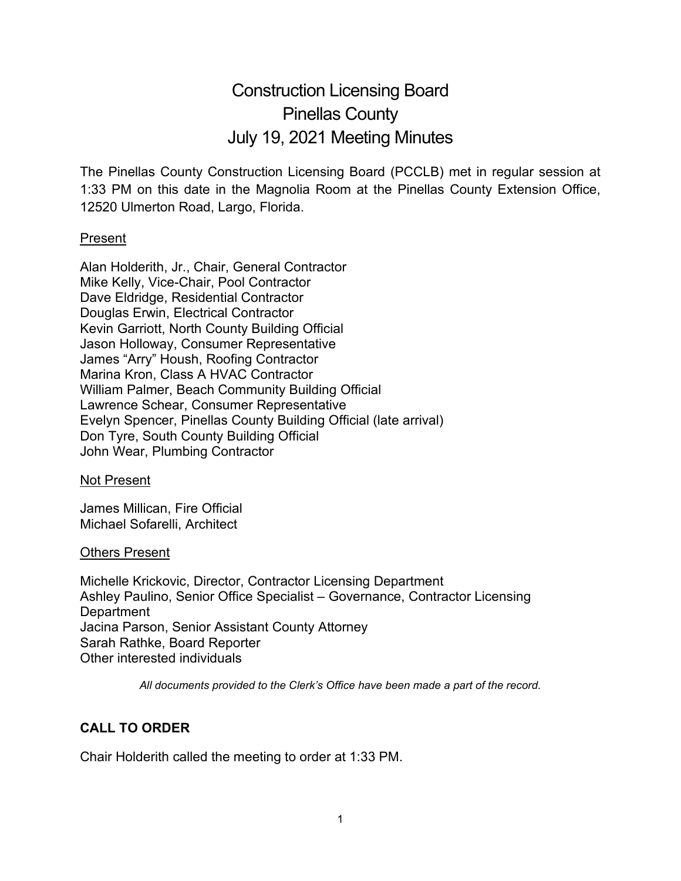# Construction Licensing Board Pinellas County July 19, 2021 Meeting Minutes

The Pinellas County Construction Licensing Board (PCCLB) met in regular session at 1:33 PM on this date in the Magnolia Room at the Pinellas County Extension Office, 12520 Ulmerton Road, Largo, Florida.

## Present

Alan Holderith, Jr., Chair, General Contractor Mike Kelly, Vice-Chair, Pool Contractor Dave Eldridge, Residential Contractor Douglas Erwin, Electrical Contractor Kevin Garriott, North County Building Official Jason Holloway, Consumer Representative James "Arry" Housh, Roofing Contractor Marina Kron, Class A HVAC Contractor William Palmer, Beach Community Building Official Lawrence Schear, Consumer Representative Evelyn Spencer, Pinellas County Building Official (late arrival) Don Tyre, South County Building Official John Wear, Plumbing Contractor

## Not Present

James Millican, Fire Official Michael Sofarelli, Architect

## Others Present

Michelle Krickovic, Director, Contractor Licensing Department Ashley Paulino, Senior Office Specialist – Governance, Contractor Licensing **Department** Jacina Parson, Senior Assistant County Attorney Sarah Rathke, Board Reporter Other interested individuals

*All documents provided to the Clerk's Office have been made a part of the record.*

# **CALL TO ORDER**

Chair Holderith called the meeting to order at 1:33 PM.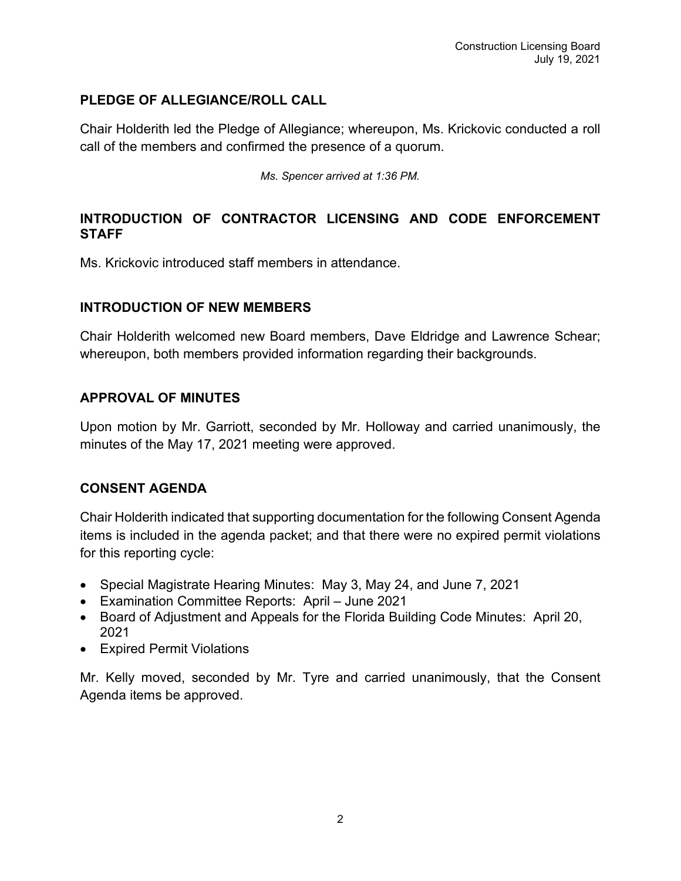# **PLEDGE OF ALLEGIANCE/ROLL CALL**

Chair Holderith led the Pledge of Allegiance; whereupon, Ms. Krickovic conducted a roll call of the members and confirmed the presence of a quorum.

*Ms. Spencer arrived at 1:36 PM.*

# **INTRODUCTION OF CONTRACTOR LICENSING AND CODE ENFORCEMENT STAFF**

Ms. Krickovic introduced staff members in attendance.

# **INTRODUCTION OF NEW MEMBERS**

Chair Holderith welcomed new Board members, Dave Eldridge and Lawrence Schear; whereupon, both members provided information regarding their backgrounds.

# **APPROVAL OF MINUTES**

Upon motion by Mr. Garriott, seconded by Mr. Holloway and carried unanimously, the minutes of the May 17, 2021 meeting were approved.

# **CONSENT AGENDA**

Chair Holderith indicated that supporting documentation for the following Consent Agenda items is included in the agenda packet; and that there were no expired permit violations for this reporting cycle:

- Special Magistrate Hearing Minutes: May 3, May 24, and June 7, 2021
- Examination Committee Reports: April June 2021
- Board of Adjustment and Appeals for the Florida Building Code Minutes: April 20, 2021
- Expired Permit Violations

Mr. Kelly moved, seconded by Mr. Tyre and carried unanimously, that the Consent Agenda items be approved.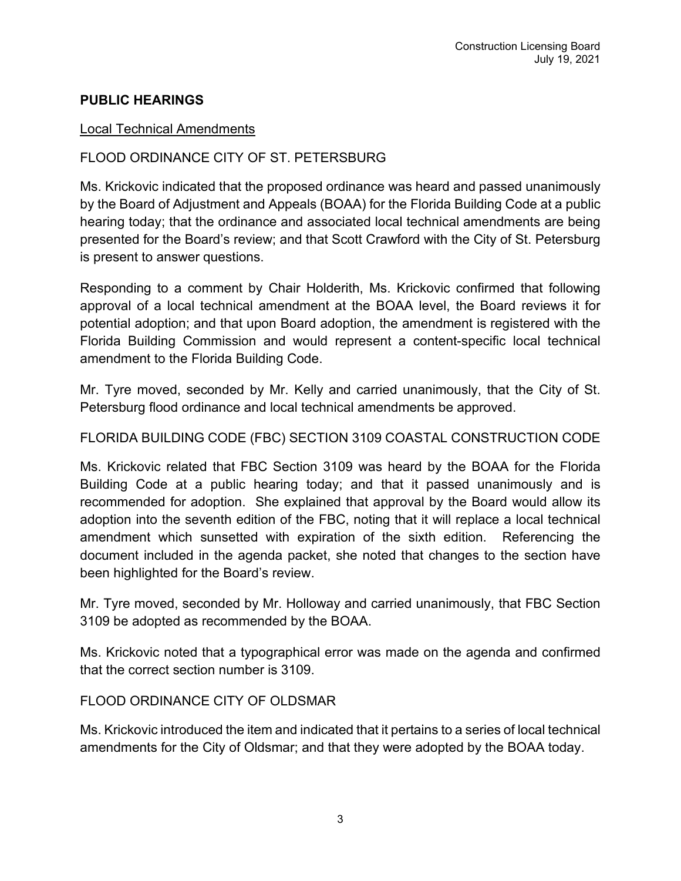# **PUBLIC HEARINGS**

## Local Technical Amendments

# FLOOD ORDINANCE CITY OF ST. PETERSBURG

Ms. Krickovic indicated that the proposed ordinance was heard and passed unanimously by the Board of Adjustment and Appeals (BOAA) for the Florida Building Code at a public hearing today; that the ordinance and associated local technical amendments are being presented for the Board's review; and that Scott Crawford with the City of St. Petersburg is present to answer questions.

Responding to a comment by Chair Holderith, Ms. Krickovic confirmed that following approval of a local technical amendment at the BOAA level, the Board reviews it for potential adoption; and that upon Board adoption, the amendment is registered with the Florida Building Commission and would represent a content-specific local technical amendment to the Florida Building Code.

Mr. Tyre moved, seconded by Mr. Kelly and carried unanimously, that the City of St. Petersburg flood ordinance and local technical amendments be approved.

## FLORIDA BUILDING CODE (FBC) SECTION 3109 COASTAL CONSTRUCTION CODE

Ms. Krickovic related that FBC Section 3109 was heard by the BOAA for the Florida Building Code at a public hearing today; and that it passed unanimously and is recommended for adoption. She explained that approval by the Board would allow its adoption into the seventh edition of the FBC, noting that it will replace a local technical amendment which sunsetted with expiration of the sixth edition. Referencing the document included in the agenda packet, she noted that changes to the section have been highlighted for the Board's review.

Mr. Tyre moved, seconded by Mr. Holloway and carried unanimously, that FBC Section 3109 be adopted as recommended by the BOAA.

Ms. Krickovic noted that a typographical error was made on the agenda and confirmed that the correct section number is 3109.

## FLOOD ORDINANCE CITY OF OLDSMAR

Ms. Krickovic introduced the item and indicated that it pertains to a series of local technical amendments for the City of Oldsmar; and that they were adopted by the BOAA today.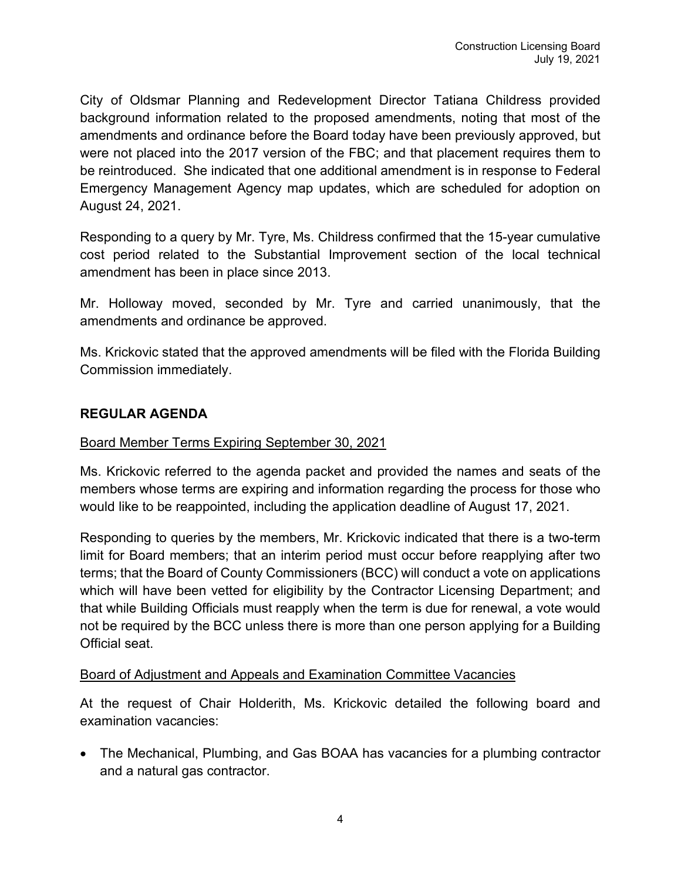City of Oldsmar Planning and Redevelopment Director Tatiana Childress provided background information related to the proposed amendments, noting that most of the amendments and ordinance before the Board today have been previously approved, but were not placed into the 2017 version of the FBC; and that placement requires them to be reintroduced. She indicated that one additional amendment is in response to Federal Emergency Management Agency map updates, which are scheduled for adoption on August 24, 2021.

Responding to a query by Mr. Tyre, Ms. Childress confirmed that the 15-year cumulative cost period related to the Substantial Improvement section of the local technical amendment has been in place since 2013.

Mr. Holloway moved, seconded by Mr. Tyre and carried unanimously, that the amendments and ordinance be approved.

Ms. Krickovic stated that the approved amendments will be filed with the Florida Building Commission immediately.

## **REGULAR AGENDA**

## Board Member Terms Expiring September 30, 2021

Ms. Krickovic referred to the agenda packet and provided the names and seats of the members whose terms are expiring and information regarding the process for those who would like to be reappointed, including the application deadline of August 17, 2021.

Responding to queries by the members, Mr. Krickovic indicated that there is a two-term limit for Board members; that an interim period must occur before reapplying after two terms; that the Board of County Commissioners (BCC) will conduct a vote on applications which will have been vetted for eligibility by the Contractor Licensing Department; and that while Building Officials must reapply when the term is due for renewal, a vote would not be required by the BCC unless there is more than one person applying for a Building Official seat.

## Board of Adjustment and Appeals and Examination Committee Vacancies

At the request of Chair Holderith, Ms. Krickovic detailed the following board and examination vacancies:

• The Mechanical, Plumbing, and Gas BOAA has vacancies for a plumbing contractor and a natural gas contractor.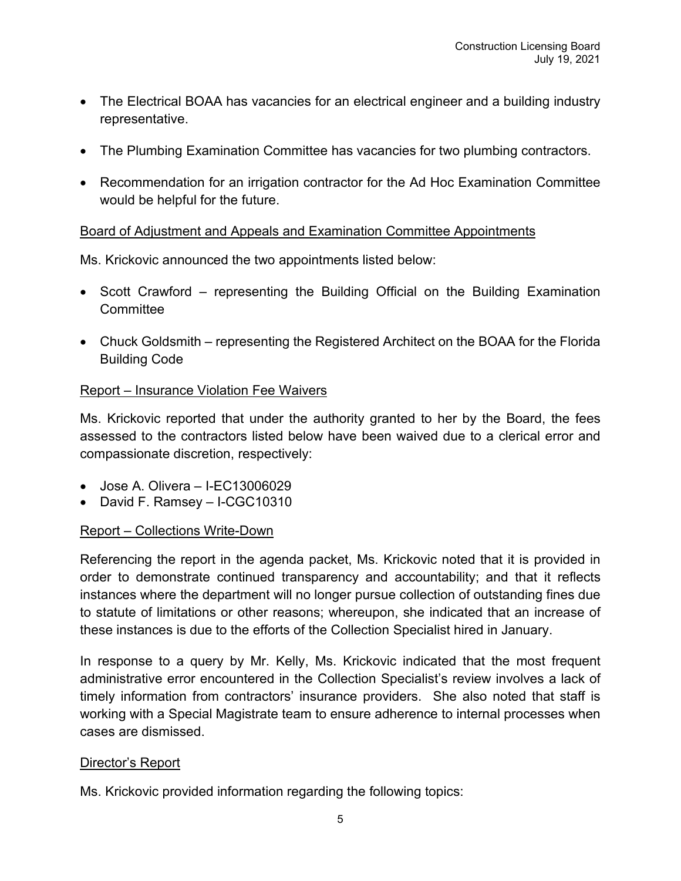- The Electrical BOAA has vacancies for an electrical engineer and a building industry representative.
- The Plumbing Examination Committee has vacancies for two plumbing contractors.
- Recommendation for an irrigation contractor for the Ad Hoc Examination Committee would be helpful for the future.

# Board of Adjustment and Appeals and Examination Committee Appointments

Ms. Krickovic announced the two appointments listed below:

- Scott Crawford representing the Building Official on the Building Examination Committee
- Chuck Goldsmith representing the Registered Architect on the BOAA for the Florida Building Code

## Report – Insurance Violation Fee Waivers

Ms. Krickovic reported that under the authority granted to her by the Board, the fees assessed to the contractors listed below have been waived due to a clerical error and compassionate discretion, respectively:

- Jose A. Olivera I-EC13006029
- David F. Ramsey I-CGC10310

## Report – Collections Write-Down

Referencing the report in the agenda packet, Ms. Krickovic noted that it is provided in order to demonstrate continued transparency and accountability; and that it reflects instances where the department will no longer pursue collection of outstanding fines due to statute of limitations or other reasons; whereupon, she indicated that an increase of these instances is due to the efforts of the Collection Specialist hired in January.

In response to a query by Mr. Kelly, Ms. Krickovic indicated that the most frequent administrative error encountered in the Collection Specialist's review involves a lack of timely information from contractors' insurance providers. She also noted that staff is working with a Special Magistrate team to ensure adherence to internal processes when cases are dismissed.

## Director's Report

Ms. Krickovic provided information regarding the following topics: